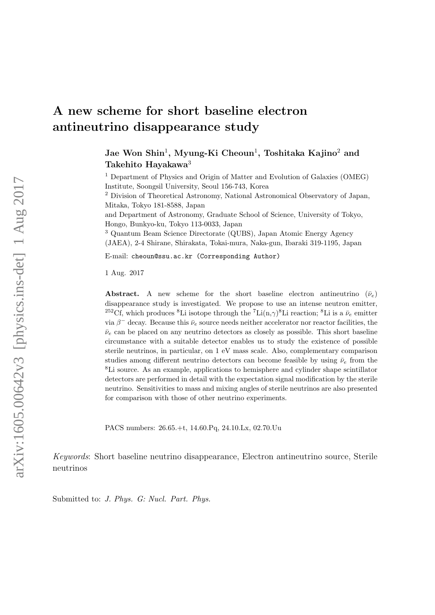## A new scheme for short baseline electron antineutrino disappearance study

Jae Won Shin<sup>1</sup>, Myung-Ki Cheoun<sup>1</sup>, Toshitaka Kajino<sup>2</sup> and Takehito Hayakawa<sup>3</sup>

<sup>1</sup> Department of Physics and Origin of Matter and Evolution of Galaxies (OMEG) Institute, Soongsil University, Seoul 156-743, Korea

<sup>2</sup> Division of Theoretical Astronomy, National Astronomical Observatory of Japan, Mitaka, Tokyo 181-8588, Japan

and Department of Astronomy, Graduate School of Science, University of Tokyo, Hongo, Bunkyo-ku, Tokyo 113-0033, Japan

<sup>3</sup> Quantum Beam Science Directorate (QUBS), Japan Atomic Energy Agency (JAEA), 2-4 Shirane, Shirakata, Tokai-mura, Naka-gun, Ibaraki 319-1195, Japan

E-mail: cheoun@ssu.ac.kr (Corresponding Author)

1 Aug. 2017

**Abstract.** A new scheme for the short baseline electron antineutrino  $(\bar{\nu}_e)$ disappearance study is investigated. We propose to use an intense neutron emitter, <sup>252</sup>Cf, which produces <sup>8</sup>Li isotope through the <sup>7</sup>Li(n, $\gamma$ )<sup>8</sup>Li reaction; <sup>8</sup>Li is a  $\bar{\nu}_e$  emitter via  $\beta^-$  decay. Because this  $\bar{\nu}_e$  source needs neither accelerator nor reactor facilities, the  $\bar{\nu}_e$  can be placed on any neutrino detectors as closely as possible. This short baseline circumstance with a suitable detector enables us to study the existence of possible sterile neutrinos, in particular, on 1 eV mass scale. Also, complementary comparison studies among different neutrino detectors can become feasible by using  $\bar{\nu}_e$  from the <sup>8</sup>Li source. As an example, applications to hemisphere and cylinder shape scintillator detectors are performed in detail with the expectation signal modification by the sterile neutrino. Sensitivities to mass and mixing angles of sterile neutrinos are also presented for comparison with those of other neutrino experiments.

PACS numbers: 26.65.+t, 14.60.Pq, 24.10.Lx, 02.70.Uu

Keywords: Short baseline neutrino disappearance, Electron antineutrino source, Sterile neutrinos

Submitted to: J. Phys. G: Nucl. Part. Phys.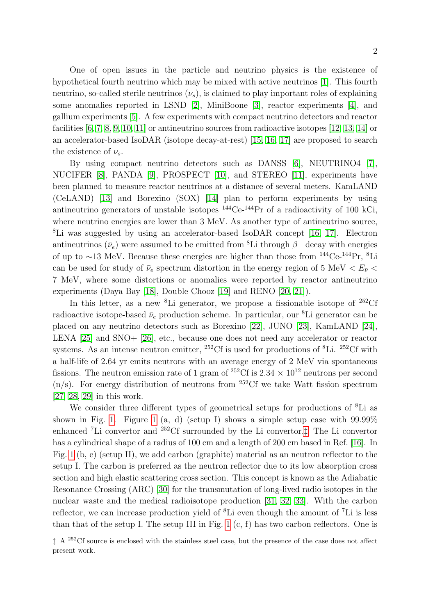One of open issues in the particle and neutrino physics is the existence of hypothetical fourth neutrino which may be mixed with active neutrinos [\[1\]](#page-9-0). This fourth neutrino, so-called sterile neutrinos  $(\nu_s)$ , is claimed to play important roles of explaining some anomalies reported in LSND [\[2\]](#page-9-1), MiniBoone [\[3\]](#page-9-2), reactor experiments [\[4\]](#page-9-3), and gallium experiments [\[5\]](#page-9-4). A few experiments with compact neutrino detectors and reactor facilities  $[6, 7, 8, 9, 10, 11]$  $[6, 7, 8, 9, 10, 11]$  $[6, 7, 8, 9, 10, 11]$  $[6, 7, 8, 9, 10, 11]$  $[6, 7, 8, 9, 10, 11]$  $[6, 7, 8, 9, 10, 11]$  or antineutrino sources from radioactive isotopes  $[12, 13, 14]$  $[12, 13, 14]$  $[12, 13, 14]$  or an accelerator-based IsoDAR (isotope decay-at-rest) [\[15,](#page-9-14) [16,](#page-9-15) [17\]](#page-9-16) are proposed to search the existence of  $\nu_s$ .

By using compact neutrino detectors such as DANSS [\[6\]](#page-9-5), NEUTRINO4 [\[7\]](#page-9-6), NUCIFER [\[8\]](#page-9-7), PANDA [\[9\]](#page-9-8), PROSPECT [\[10\]](#page-9-9), and STEREO [\[11\]](#page-9-10), experiments have been planned to measure reactor neutrinos at a distance of several meters. KamLAND (CeLAND) [\[13\]](#page-9-12) and Borexino (SOX) [\[14\]](#page-9-13) plan to perform experiments by using antineutrino generators of unstable isotopes  $^{144}$ Ce- $^{144}$ Pr of a radioactivity of 100 kCi, where neutrino energies are lower than 3 MeV. As another type of antineutrino source, <sup>8</sup>Li was suggested by using an accelerator-based IsoDAR concept [\[16,](#page-9-15) [17\]](#page-9-16). Electron antineutrinos  $(\bar{\nu}_e)$  were assumed to be emitted from <sup>8</sup>Li through  $\beta^-$  decay with energies of up to ∼13 MeV. Because these energies are higher than those from  $^{144}$ Ce- $^{144}$ Pr,  $^{8}$ Li can be used for study of  $\bar{\nu}_e$  spectrum distortion in the energy region of 5 MeV  $\langle E_{\bar{\nu}} \rangle$ 7 MeV, where some distortions or anomalies were reported by reactor antineutrino experiments (Daya Bay [\[18\]](#page-9-17), Double Chooz [\[19\]](#page-9-18) and RENO [\[20,](#page-9-19) [21\]](#page-9-20)).

In this letter, as a new  ${}^{8}$ Li generator, we propose a fissionable isotope of  ${}^{252}$ Cf radioactive isotope-based  $\bar{\nu}_e$  production scheme. In particular, our <sup>8</sup>Li generator can be placed on any neutrino detectors such as Borexino [\[22\]](#page-9-21), JUNO [\[23\]](#page-9-22), KamLAND [\[24\]](#page-9-23), LENA [\[25\]](#page-9-24) and SNO+ [\[26\]](#page-9-25), etc., because one does not need any accelerator or reactor systems. As an intense neutron emitter,  $^{252}$ Cf is used for productions of  $^{8}$ Li.  $^{252}$ Cf with a half-life of 2.64 yr emits neutrons with an average energy of 2 MeV via spontaneous fissions. The neutron emission rate of 1 gram of <sup>252</sup>Cf is 2.34  $\times$  10<sup>12</sup> neutrons per second  $(n/s)$ . For energy distribution of neutrons from <sup>252</sup>Cf we take Watt fission spectrum [\[27,](#page-9-26) [28,](#page-9-27) [29\]](#page-10-0) in this work.

We consider three different types of geometrical setups for productions of <sup>8</sup>Li as shown in Fig. [1.](#page-2-0) Figure [1](#page-2-0) (a, d) (setup I) shows a simple setup case with  $99.99\%$ enhanced <sup>7</sup>Li convertor and <sup>252</sup>Cf surrounded by the Li convertor.[‡](#page-1-0) The Li convertor has a cylindrical shape of a radius of 100 cm and a length of 200 cm based in Ref. [\[16\]](#page-9-15). In Fig. [1](#page-2-0) (b, e) (setup II), we add carbon (graphite) material as an neutron reflector to the setup I. The carbon is preferred as the neutron reflector due to its low absorption cross section and high elastic scattering cross section. This concept is known as the Adiabatic Resonance Crossing (ARC) [\[30\]](#page-10-1) for the transmutation of long-lived radio isotopes in the nuclear waste and the medical radioisotope production [\[31,](#page-10-2) [32,](#page-10-3) [33\]](#page-10-4). With the carbon reflector, we can increase production yield of <sup>8</sup>Li even though the amount of <sup>7</sup>Li is less than that of the setup I. The setup III in Fig. [1](#page-2-0) (c, f) has two carbon reflectors. One is

<span id="page-1-0"></span> $\pm$  A <sup>252</sup>Cf source is enclosed with the stainless steel case, but the presence of the case does not affect present work.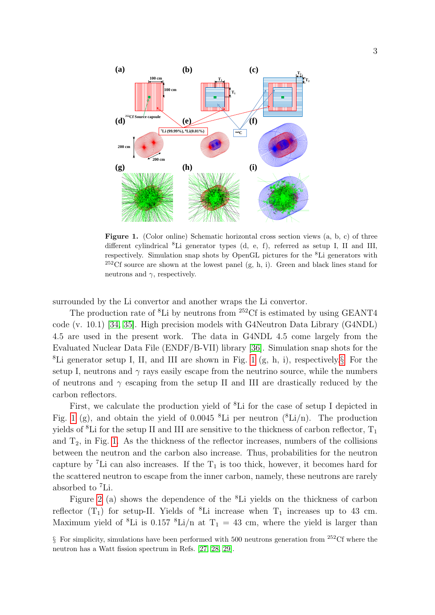

<span id="page-2-0"></span>Figure 1. (Color online) Schematic horizontal cross section views  $(a, b, c)$  of three different cylindrical <sup>8</sup>Li generator types (d, e, f), referred as setup I, II and III, respectively. Simulation snap shots by OpenGL pictures for the <sup>8</sup>Li generators with <sup>252</sup>Cf source are shown at the lowest panel  $(g, h, i)$ . Green and black lines stand for neutrons and  $\gamma$ , respectively.

surrounded by the Li convertor and another wraps the Li convertor.

The production rate of  ${}^{8}$ Li by neutrons from  ${}^{252}$ Cf is estimated by using GEANT4 code (v. 10.1) [\[34,](#page-10-5) [35\]](#page-10-6). High precision models with G4Neutron Data Library (G4NDL) 4.5 are used in the present work. The data in G4NDL 4.5 come largely from the Evaluated Nuclear Data File (ENDF/B-VII) library [\[36\]](#page-10-7). Simulation snap shots for the <sup>8</sup>Li generator setup I, II, and III are shown in Fig. [1](#page-2-0)  $(g, h, i)$ , respectively. For the setup I, neutrons and  $\gamma$  rays easily escape from the neutrino source, while the numbers of neutrons and  $\gamma$  escaping from the setup II and III are drastically reduced by the carbon reflectors.

First, we calculate the production yield of <sup>8</sup>Li for the case of setup I depicted in Fig. [1](#page-2-0) (g), and obtain the yield of 0.0045  ${}^{8}$ Li per neutron  $({}^{8}Li/n)$ . The production yields of <sup>8</sup>Li for the setup II and III are sensitive to the thickness of carbon reflector,  $T_1$ and  $T_2$ , in Fig. [1.](#page-2-0) As the thickness of the reflector increases, numbers of the collisions between the neutron and the carbon also increase. Thus, probabilities for the neutron capture by <sup>7</sup>Li can also increases. If the  $T_1$  is too thick, however, it becomes hard for the scattered neutron to escape from the inner carbon, namely, these neutrons are rarely absorbed to <sup>7</sup>Li.

Figure [2](#page-3-0) (a) shows the dependence of the <sup>8</sup>Li yields on the thickness of carbon reflector  $(T_1)$  for setup-II. Yields of <sup>8</sup>Li increase when  $T_1$  increases up to 43 cm. Maximum yield of <sup>8</sup>Li is 0.157 <sup>8</sup>Li/n at  $T_1 = 43$  cm, where the yield is larger than

<span id="page-2-1"></span> $\S$  For simplicity, simulations have been performed with 500 neutrons generation from <sup>252</sup>Cf where the neutron has a Watt fission spectrum in Refs. [\[27,](#page-9-26) [28,](#page-9-27) [29\]](#page-10-0).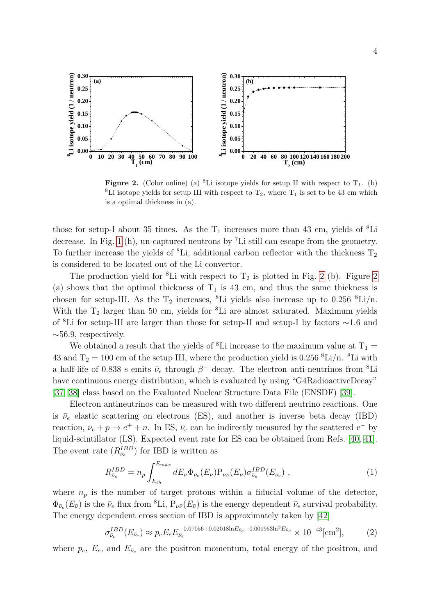

<span id="page-3-0"></span>**Figure 2.** (Color online) (a) <sup>8</sup>Li isotope yields for setup II with respect to  $T_1$ . (b) <sup>8</sup>Li isotope yields for setup III with respect to  $T_2$ , where  $T_1$  is set to be 43 cm which is a optimal thickness in (a).

those for setup-I about 35 times. As the  $T_1$  increases more than 43 cm, yields of <sup>8</sup>Li decrease. In Fig. [1](#page-2-0) (h), un-captured neutrons by <sup>7</sup>Li still can escape from the geometry. To further increase the yields of <sup>8</sup>Li, additional carbon reflector with the thickness  $T_2$ is considered to be located out of the Li convertor.

The production yield for <sup>8</sup>Li with respect to  $T_2$  is plotted in Fig. [2](#page-3-0) (b). Figure 2 (a) shows that the optimal thickness of  $T_1$  is 43 cm, and thus the same thickness is chosen for setup-III. As the  $T_2$  increases, <sup>8</sup>Li yields also increase up to 0.256 <sup>8</sup>Li/n. With the T<sub>2</sub> larger than 50 cm, yields for <sup>8</sup>Li are almost saturated. Maximum yields of <sup>8</sup>Li for setup-III are larger than those for setup-II and setup-I by factors ∼1.6 and  $\sim$ 56.9, respectively.

We obtained a result that the yields of <sup>8</sup>Li increase to the maximum value at  $T_1 =$ 43 and  $T_2 = 100$  cm of the setup III, where the production yield is 0.256  $k$ Li/n.  $k$ Li with a half-life of 0.838 s emits  $\bar{\nu}_e$  through  $\beta^-$  decay. The electron anti-neutrinos from <sup>8</sup>Li have continuous energy distribution, which is evaluated by using "G4RadioactiveDecay" [\[37,](#page-10-8) [38\]](#page-10-9) class based on the Evaluated Nuclear Structure Data File (ENSDF) [\[39\]](#page-10-10).

Electron antineutrinos can be measured with two different neutrino reactions. One is  $\bar{\nu}_e$  elastic scattering on electrons (ES), and another is inverse beta decay (IBD) reaction,  $\bar{\nu}_e + p \rightarrow e^+ + n$ . In ES,  $\bar{\nu}_e$  can be indirectly measured by the scattered e<sup>-</sup> by liquid-scintillator (LS). Expected event rate for ES can be obtained from Refs. [\[40,](#page-10-11) [41\]](#page-10-12). The event rate  $(R_{\bar{\nu}_e}^{IBD})$  for IBD is written as

<span id="page-3-1"></span>
$$
R_{\bar{\nu}_e}^{IBD} = n_p \int_{E_{th}}^{E_{max}} dE_{\bar{\nu}} \Phi_{\bar{\nu}_e}(E_{\bar{\nu}}) P_{\nu \bar{\nu}}(E_{\bar{\nu}}) \sigma_{\bar{\nu}_e}^{IBD}(E_{\bar{\nu}_e}) , \qquad (1)
$$

where  $n_p$  is the number of target protons within a fiducial volume of the detector,  $\Phi_{\bar{\nu}_e}(E_{\bar{\nu}})$  is the  $\bar{\nu}_e$  flux from <sup>8</sup>Li,  $P_{\nu\bar{\nu}}(E_{\bar{\nu}})$  is the energy dependent  $\bar{\nu}_e$  survival probability. The energy dependent cross section of IBD is approximately taken by [\[42\]](#page-10-13)

$$
\sigma_{\bar{\nu}_e}^{IBD}(E_{\bar{\nu}_e}) \approx p_e E_e E_{\bar{\nu}_e}^{-0.07056 + 0.02018 \ln E_{\bar{\nu}_e} - 0.001953 \ln^3 E_{\bar{\nu}_e}} \times 10^{-43} [\text{cm}^2],\tag{2}
$$

where  $p_e$ ,  $E_e$ , and  $E_{\bar{\nu}_e}$  are the positron momentum, total energy of the positron, and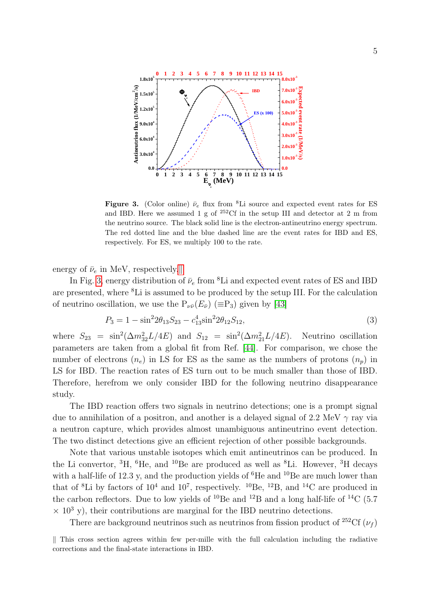

<span id="page-4-1"></span>Figure 3. (Color online)  $\bar{\nu}_e$  flux from <sup>8</sup>Li source and expected event rates for ES and IBD. Here we assumed 1 g of  $252 \text{C}$ f in the setup III and detector at 2 m from the neutrino source. The black solid line is the electron-antineutrino energy spectrum. The red dotted line and the blue dashed line are the event rates for IBD and ES, respectively. For ES, we multiply 100 to the rate.

energy of  $\bar{\nu}_e$  in MeV, respectively.

In Fig. [3,](#page-4-1) energy distribution of  $\bar{\nu}_e$  from <sup>8</sup>Li and expected event rates of ES and IBD are presented, where <sup>8</sup>Li is assumed to be produced by the setup III. For the calculation of neutrino oscillation, we use the  $P_{\nu \bar{\nu}}(E_{\bar{\nu}})$  ( $\equiv P_3$ ) given by [\[43\]](#page-10-14)

$$
P_3 = 1 - \sin^2 2\theta_{13} S_{23} - c_{13}^4 \sin^2 2\theta_{12} S_{12},\tag{3}
$$

where  $S_{23} = \sin^2(\Delta m_{32}^2 L/4E)$  and  $S_{12} = \sin^2(\Delta m_{21}^2 L/4E)$ . Neutrino oscillation parameters are taken from a global fit from Ref. [\[44\]](#page-10-15). For comparison, we chose the number of electrons  $(n_e)$  in LS for ES as the same as the numbers of protons  $(n_p)$  in LS for IBD. The reaction rates of ES turn out to be much smaller than those of IBD. Therefore, herefrom we only consider IBD for the following neutrino disappearance study.

The IBD reaction offers two signals in neutrino detections; one is a prompt signal due to annihilation of a positron, and another is a delayed signal of 2.2 MeV  $\gamma$  ray via a neutron capture, which provides almost unambiguous antineutrino event detection. The two distinct detections give an efficient rejection of other possible backgrounds.

Note that various unstable isotopes which emit antineutrinos can be produced. In the Li convertor,  ${}^{3}H$ ,  ${}^{6}He$ , and  ${}^{10}Be$  are produced as well as  ${}^{8}Li$ . However,  ${}^{3}H$  decays with a half-life of 12.3 y, and the production yields of  ${}^{6}$ He and  ${}^{10}$ Be are much lower than that of <sup>8</sup>Li by factors of  $10^4$  and  $10^7$ , respectively. <sup>10</sup>Be, <sup>12</sup>B, and <sup>14</sup>C are produced in the carbon reflectors. Due to low yields of  $^{10}$ Be and  $^{12}$ B and a long half-life of  $^{14}$ C (5.7)  $\times$  10<sup>3</sup> y), their contributions are marginal for the IBD neutrino detections.

There are background neutrinos such as neutrinos from fission product of <sup>252</sup>Cf ( $\nu_f$ )

<span id="page-4-0"></span> $\parallel$  This cross section agrees within few per-mille with the full calculation including the radiative corrections and the final-state interactions in IBD.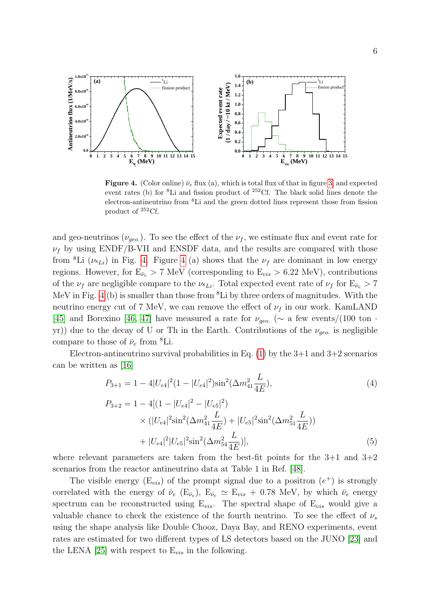

<span id="page-5-0"></span>Figure 4. (Color online)  $\bar{\nu}_e$  flux (a), which is total flux of that in figure [3,](#page-4-1) and expected event rates (b) for  ${}^{8}$ Li and fission product of  ${}^{252}$ Cf. The black solid lines denote the electron-antineutrino from <sup>8</sup>Li and the green dotted lines represent those from fission product of <sup>252</sup>Cf.

and geo-neutrinos ( $\nu_{geo}$ ). To see the effect of the  $\nu_f$ , we estimate flux and event rate for  $\nu_f$  by using ENDF/B-VII and ENSDF data, and the results are compared with those from <sup>8</sup>Li ( $\nu_{sL}$ ) in Fig. [4.](#page-5-0) Figure [4](#page-5-0) (a) shows that the  $\nu_f$  are dominant in low energy regions. However, for  $E_{\bar{\nu}_e} > 7 \text{ MeV}$  (corresponding to  $E_{vis} > 6.22 \text{ MeV}$ ), contributions of the  $\nu_f$  are negligible compare to the  $\nu_{k}$ . Total expected event rate of  $\nu_f$  for  $E_{\bar{\nu}_e} > 7$ MeV in Fig. [4](#page-5-0) (b) is smaller than those from  ${}^8\text{Li}$  by three orders of magnitudes. With the neutrino energy cut of 7 MeV, we can remove the effect of  $\nu_f$  in our work. KamLAND [\[45\]](#page-10-16) and Borexino [\[46,](#page-10-17) [47\]](#page-10-18) have measured a rate for  $\nu_{qeo}$  ( $\sim$  a few events/(100 ton · yr)) due to the decay of U or Th in the Earth. Contributions of the  $\nu_{geo}$  is negligible compare to those of  $\bar{\nu}_e$  from <sup>8</sup>Li.

Electron-antineutrino survival probabilities in Eq.  $(1)$  by the 3+1 and 3+2 scenarios can be written as [\[16\]](#page-9-15)

$$
P_{3+1} = 1 - 4|U_{e4}|^2(1 - |U_{e4}|^2)\sin^2(\Delta m_{41}^2 \frac{L}{4E}), \tag{4}
$$

$$
P_{3+2} = 1 - 4[(1 - |U_{e4}|^2 - |U_{e5}|^2)
$$
  
 
$$
\times (|U_{e4}|^2 \sin^2(\Delta m_{41}^2 \frac{L}{4E}) + |U_{e5}|^2 \sin^2(\Delta m_{51}^2 \frac{L}{4E}))
$$
  
 
$$
+ |U_{e4}|^2 |U_{e5}|^2 \sin^2(\Delta m_{54}^2 \frac{L}{4E})],
$$
 (5)

where relevant parameters are taken from the best-fit points for the  $3+1$  and  $3+2$ scenarios from the reactor antineutrino data at Table 1 in Ref. [\[48\]](#page-10-19).

The visible energy  $(E_{vis})$  of the prompt signal due to a positron  $(e^+)$  is strongly correlated with the energy of  $\bar{\nu}_e$  (E<sub> $\bar{\nu}_e$ </sub>), E<sub> $\bar{\nu}_e \simeq$  E<sub>vis</sub> + 0.78 MeV, by which  $\bar{\nu}_e$  energy</sub> spectrum can be reconstructed using  $E_{vis}$ . The spectral shape of  $E_{vis}$  would give a valuable chance to check the existence of the fourth neutrino. To see the effect of  $\nu_s$ using the shape analysis like Double Chooz, Daya Bay, and RENO experiments, event rates are estimated for two different types of LS detectors based on the JUNO [\[23\]](#page-9-22) and the LENA [\[25\]](#page-9-24) with respect to  $E_{vis}$  in the following.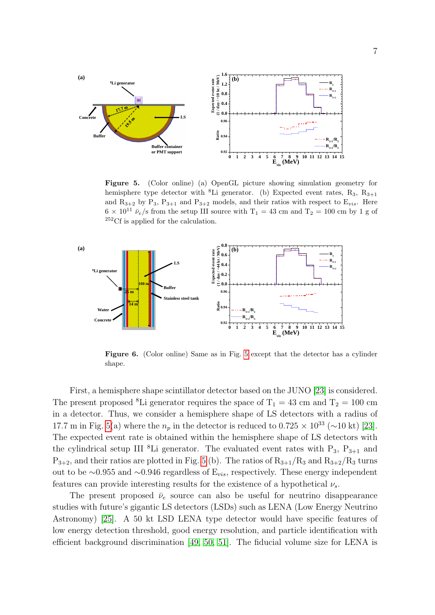

<span id="page-6-0"></span>Figure 5. (Color online) (a) OpenGL picture showing simulation geometry for hemisphere type detector with <sup>8</sup>Li generator. (b) Expected event rates,  $R_3$ ,  $R_{3+1}$ and  $R_{3+2}$  by  $P_3$ ,  $P_{3+1}$  and  $P_{3+2}$  models, and their ratios with respect to  $E_{vis}$ . Here  $6 \times 10^{11} \bar{\nu}_e/\text{s}$  from the setup III source with T<sub>1</sub> = 43 cm and T<sub>2</sub> = 100 cm by 1 g of <sup>252</sup>Cf is applied for the calculation.



<span id="page-6-1"></span>Figure 6. (Color online) Same as in Fig. [5](#page-6-0) except that the detector has a cylinder shape.

First, a hemisphere shape scintillator detector based on the JUNO [\[23\]](#page-9-22) is considered. The present proposed <sup>8</sup>Li generator requires the space of  $T_1 = 43$  cm and  $T_2 = 100$  cm in a detector. Thus, we consider a hemisphere shape of LS detectors with a radius of 17.7 m in Fig. [5\(](#page-6-0)a) where the  $n_p$  in the detector is reduced to 0.725 × 10<sup>33</sup> (~10 kt) [\[23\]](#page-9-22). The expected event rate is obtained within the hemisphere shape of LS detectors with the cylindrical setup III <sup>8</sup>Li generator. The evaluated event rates with  $P_3$ ,  $P_{3+1}$  and  $P_{3+2}$ , and their ratios are plotted in Fig. [5](#page-6-0) (b). The ratios of  $R_{3+1}/R_3$  and  $R_{3+2}/R_3$  turns out to be ∼0.955 and ∼0.946 regardless of  $E_{vis}$ , respectively. These energy independent features can provide interesting results for the existence of a hypothetical  $\nu_s$ .

The present proposed  $\bar{\nu}_e$  source can also be useful for neutrino disappearance studies with future's gigantic LS detectors (LSDs) such as LENA (Low Energy Neutrino Astronomy) [\[25\]](#page-9-24). A 50 kt LSD LENA type detector would have specific features of low energy detection threshold, good energy resolution, and particle identification with efficient background discrimination [\[49,](#page-10-20) [50,](#page-10-21) [51\]](#page-10-22). The fiducial volume size for LENA is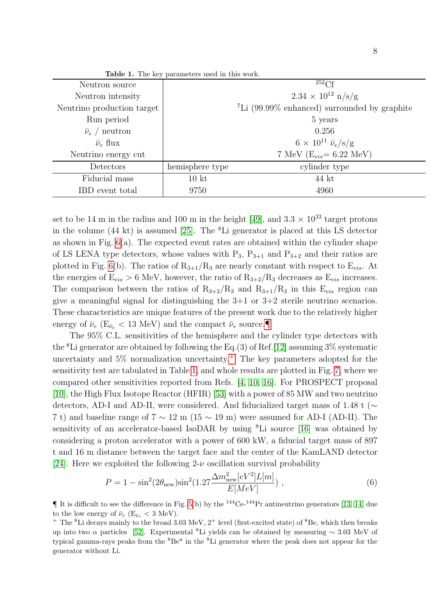| <b>Lable 1.</b> The key parameters used in this work. |                  |                                                            |
|-------------------------------------------------------|------------------|------------------------------------------------------------|
| Neutron source                                        |                  | $252$ Cf                                                   |
| Neutron intensity                                     |                  | $2.34 \times 10^{12} \text{ n/s/g}$                        |
| Neutrino production target                            |                  | $\mathrm{^{7}Li}$ (99.99% enhanced) surrounded by graphite |
| Run period                                            |                  | 5 years                                                    |
| $\bar{\nu}_e$ / neutron                               |                  | 0.256                                                      |
| $\bar{\nu}_e$ flux                                    |                  | $6 \times 10^{11} \bar{\nu}_e / \text{s/g}$                |
| Neutrino energy cut                                   |                  | 7 MeV ( $E_{vis} = 6.22$ MeV)                              |
| Detectors                                             | hemisphere type  | cylinder type                                              |
| Fiducial mass                                         | 10 <sub>kt</sub> | 44 kt                                                      |
| IBD event total                                       | 9750             | 4960                                                       |

<span id="page-7-2"></span>Table 1. The key parameters used in this work.

set to be 14 m in the radius and 100 m in the height [\[49\]](#page-10-20), and  $3.3 \times 10^{33}$  target protons in the volume  $(44 \text{ kt})$  is assumed [\[25\]](#page-9-24). The <sup>8</sup>Li generator is placed at this LS detector as shown in Fig. [6\(](#page-6-1)a). The expected event rates are obtained within the cylinder shape of LS LENA type detectors, whose values with  $P_3$ ,  $P_{3+1}$  and  $P_{3+2}$  and their ratios are plotted in Fig. [6\(](#page-6-1)b). The ratios of  $R_{3+1}/R_3$  are nearly constant with respect to  $E_{vis}$ . At the energies of  $E_{vis} > 6$  MeV, however, the ratio of  $R_{3+2}/R_3$  decreases as  $E_{vis}$  increases. The comparison between the ratios of  $R_{3+2}/R_3$  and  $R_{3+1}/R_3$  in this  $E_{vis}$  region can give a meaningful signal for distinguishing the  $3+1$  or  $3+2$  sterile neutrino scenarios. These characteristics are unique features of the present work due to the relatively higher energy of  $\bar{\nu}_e$  (E<sub> $\bar{\nu}_e$ </sub> < 13 MeV) and the compact  $\bar{\nu}_e$  source.

The 95% C.L. sensitivities of the hemisphere and the cylinder type detectors with the <sup>8</sup>Li generator are obtained by following the Eq.(3) of Ref. [\[12\]](#page-9-11) assuming  $3\%$  systematic uncertainty and  $5\%$  normalization uncertainty.<sup> $+$ </sup> The key parameters adopted for the sensitivity test are tabulated in Table [1,](#page-7-2) and whole results are plotted in Fig. [7,](#page-8-0) where we compared other sensitivities reported from Refs. [\[4,](#page-9-3) [10,](#page-9-9) [16\]](#page-9-15). For PROSPECT proposal [\[10\]](#page-9-9), the High Flux Isotope Reactor (HFIR) [\[53\]](#page-10-23) with a power of 85 MW and two neutrino detectors, AD-I and AD-II, were considered. And fiducialized target mass of 1.48 t (∼ 7 t) and baseline range of  $7 \sim 12$  m ( $15 \sim 19$  m) were assumed for AD-I (AD-II). The sensitivity of an accelerator-based IsoDAR by using <sup>8</sup>Li source [\[16\]](#page-9-15) was obtained by considering a proton accelerator with a power of 600 kW, a fiducial target mass of 897 t and 16 m distance between the target face and the center of the KamLAND detector [\[24\]](#page-9-23). Here we exploited the following  $2-\nu$  oscillation survival probability

$$
P = 1 - \sin^{2}(2\theta_{\text{new}})\sin^{2}(1.27 \frac{\Delta m_{\text{new}}^{2}[eV^{2}]L[m]}{E[MeV]}) ,
$$
\n(6)

<span id="page-7-0"></span> $\P$  It is difficult to see the difference in Fig. [5\(](#page-6-0)b) by the  $^{144}$ Ce- $^{144}$ Pr antineutrino generators [\[13,](#page-9-12) [14\]](#page-9-13) due to the low energy of  $\bar{\nu}_e$  (E<sub> $\bar{\nu}_e$ </sub> < 3 MeV).

<span id="page-7-1"></span><sup>&</sup>lt;sup>+</sup> The <sup>8</sup>Li decays mainly to the broad 3.03 MeV,  $2^+$  level (first-excited state) of <sup>8</sup>Be, which then breaks up into two  $\alpha$  particles [\[52\]](#page-10-24). Experimental <sup>8</sup>Li yields can be obtained by measuring  $\sim 3.03$  MeV of typical gamma-rays peaks from the <sup>8</sup>Be\* in the <sup>8</sup>Li generator where the peak does not appear for the generator without Li.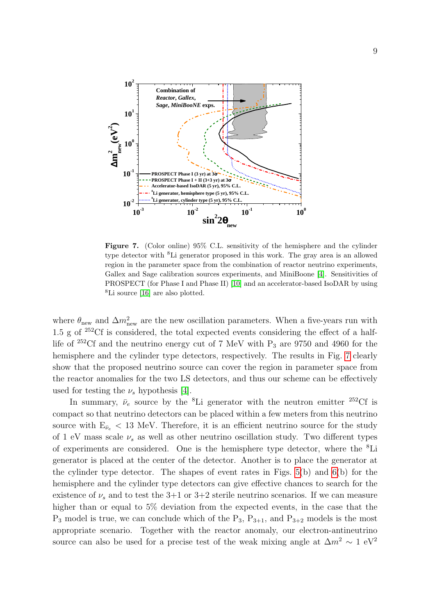

<span id="page-8-0"></span>Figure 7. (Color online) 95% C.L. sensitivity of the hemisphere and the cylinder type detector with <sup>8</sup>Li generator proposed in this work. The gray area is an allowed region in the parameter space from the combination of reactor neutrino experiments, Gallex and Sage calibration sources experiments, and MiniBoone [\[4\]](#page-9-3). Sensitivities of PROSPECT (for Phase I and Phase II) [\[10\]](#page-9-9) and an accelerator-based IsoDAR by using <sup>8</sup>Li source [\[16\]](#page-9-15) are also plotted.

where  $\theta_{\text{new}}$  and  $\Delta m_{\text{new}}^2$  are the new oscillation parameters. When a five-years run with 1.5 g of  $252 \text{C}$  is considered, the total expected events considering the effect of a halflife of  $252 \text{Cf}$  and the neutrino energy cut of 7 MeV with  $P_3$  are 9750 and 4960 for the hemisphere and the cylinder type detectors, respectively. The results in Fig. [7](#page-8-0) clearly show that the proposed neutrino source can cover the region in parameter space from the reactor anomalies for the two LS detectors, and thus our scheme can be effectively used for testing the  $\nu_s$  hypothesis [\[4\]](#page-9-3).

In summary,  $\bar{\nu}_e$  source by the <sup>8</sup>Li generator with the neutron emitter <sup>252</sup>Cf is compact so that neutrino detectors can be placed within a few meters from this neutrino source with  $E_{\bar{\nu}_e}$  < 13 MeV. Therefore, it is an efficient neutrino source for the study of 1 eV mass scale  $\nu_s$  as well as other neutrino oscillation study. Two different types of experiments are considered. One is the hemisphere type detector, where the <sup>8</sup>Li generator is placed at the center of the detector. Another is to place the generator at the cylinder type detector. The shapes of event rates in Figs. [5\(](#page-6-0)b) and [6\(](#page-6-1)b) for the hemisphere and the cylinder type detectors can give effective chances to search for the existence of  $\nu_s$  and to test the 3+1 or 3+2 sterile neutrino scenarios. If we can measure higher than or equal to 5% deviation from the expected events, in the case that the  $P_3$  model is true, we can conclude which of the  $P_3$ ,  $P_{3+1}$ , and  $P_{3+2}$  models is the most appropriate scenario. Together with the reactor anomaly, our electron-antineutrino source can also be used for a precise test of the weak mixing angle at  $\Delta m^2 \sim 1 \text{ eV}^2$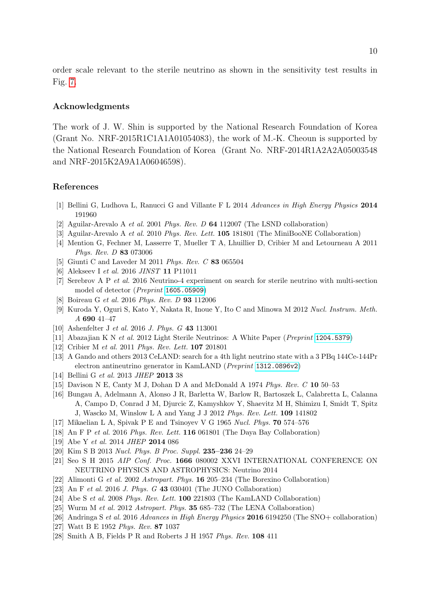order scale relevant to the sterile neutrino as shown in the sensitivity test results in Fig. [7.](#page-8-0)

## Acknowledgments

The work of J. W. Shin is supported by the National Research Foundation of Korea (Grant No. NRF-2015R1C1A1A01054083), the work of M.-K. Cheoun is supported by the National Research Foundation of Korea (Grant No. NRF-2014R1A2A2A05003548 and NRF-2015K2A9A1A06046598).

## References

- <span id="page-9-0"></span>[1] Bellini G, Ludhova L, Ranucci G and Villante F L 2014 Advances in High Energy Physics 2014 191960
- <span id="page-9-1"></span>[2] Aguilar-Arevalo A et al. 2001 Phys. Rev. D 64 112007 (The LSND collaboration)
- <span id="page-9-2"></span>[3] Aguilar-Arevalo A et al. 2010 Phys. Rev. Lett. 105 181801 (The MiniBooNE Collaboration)
- <span id="page-9-3"></span>[4] Mention G, Fechner M, Lasserre T, Mueller T A, Lhuillier D, Cribier M and Letourneau A 2011 Phys. Rev. D 83 073006
- <span id="page-9-4"></span>[5] Giunti C and Laveder M 2011 Phys. Rev. C 83 065504
- <span id="page-9-5"></span>[6] Alekseev I et al. 2016 JINST 11 P11011
- <span id="page-9-6"></span>[7] Serebrov A P et al. 2016 Neutrino-4 experiment on search for sterile neutrino with multi-section model of detector (Preprint <1605.05909>)
- <span id="page-9-7"></span>[8] Boireau G et al. 2016 Phys. Rev. D 93 112006
- <span id="page-9-8"></span>[9] Kuroda Y, Oguri S, Kato Y, Nakata R, Inoue Y, Ito C and Minowa M 2012 Nucl. Instrum. Meth. A 690 41–47
- <span id="page-9-9"></span>[10] Ashenfelter J et al. 2016 J. Phys. G 43 113001
- <span id="page-9-10"></span>[11] Abazajian K N et al. 2012 Light Sterile Neutrinos: A White Paper (Preprint <1204.5379>)
- <span id="page-9-11"></span>[12] Cribier M et al. 2011 Phys. Rev. Lett. **107** 201801
- <span id="page-9-12"></span>[13] A Gando and others 2013 CeLAND: search for a 4th light neutrino state with a 3 PBq 144Ce-144Pr electron antineutrino generator in KamLAND (Preprint <1312.0896v2>)
- <span id="page-9-13"></span>[14] Bellini G et al. 2013 JHEP 2013 38
- <span id="page-9-14"></span>[15] Davison N E, Canty M J, Dohan D A and McDonald A 1974 Phys. Rev. C 10 50–53
- <span id="page-9-15"></span>[16] Bungau A, Adelmann A, Alonso J R, Barletta W, Barlow R, Bartoszek L, Calabretta L, Calanna A, Campo D, Conrad J M, Djurcic Z, Kamyshkov Y, Shaevitz M H, Shimizu I, Smidt T, Spitz J, Wascko M, Winslow L A and Yang J J 2012 Phys. Rev. Lett. 109 141802
- <span id="page-9-16"></span>[17] Mikaelian L A, Spivak P E and Tsinoyev V G 1965 Nucl. Phys. 70 574–576
- <span id="page-9-17"></span>[18] An F P et al. 2016 Phys. Rev. Lett. 116 061801 (The Daya Bay Collaboration)
- <span id="page-9-18"></span>[19] Abe Y et al. 2014 JHEP 2014 086
- <span id="page-9-19"></span>[20] Kim S B 2013 Nucl. Phys. B Proc. Suppl. 235–236 24–29
- <span id="page-9-20"></span>[21] Seo S H 2015 AIP Conf. Proc. 1666 080002 XXVI INTERNATIONAL CONFERENCE ON NEUTRINO PHYSICS AND ASTROPHYSICS: Neutrino 2014
- <span id="page-9-21"></span>[22] Alimonti G et al. 2002 Astropart. Phys. 16 205–234 (The Borexino Collaboration)
- <span id="page-9-22"></span>[23] An F et al. 2016 J. Phys. G 43 030401 (The JUNO Collaboration)
- <span id="page-9-23"></span>[24] Abe S et al. 2008 Phys. Rev. Lett. 100 221803 (The KamLAND Collaboration)
- <span id="page-9-24"></span>[25] Wurm M et al. 2012 Astropart. Phys. 35 685–732 (The LENA Collaboration)
- <span id="page-9-25"></span>[26] Andringa S et al. 2016 Advances in High Energy Physics 2016 6194250 (The SNO+ collaboration)
- <span id="page-9-26"></span>[27] Watt B E 1952 Phys. Rev. 87 1037
- <span id="page-9-27"></span>[28] Smith A B, Fields P R and Roberts J H 1957 Phys. Rev. 108 411